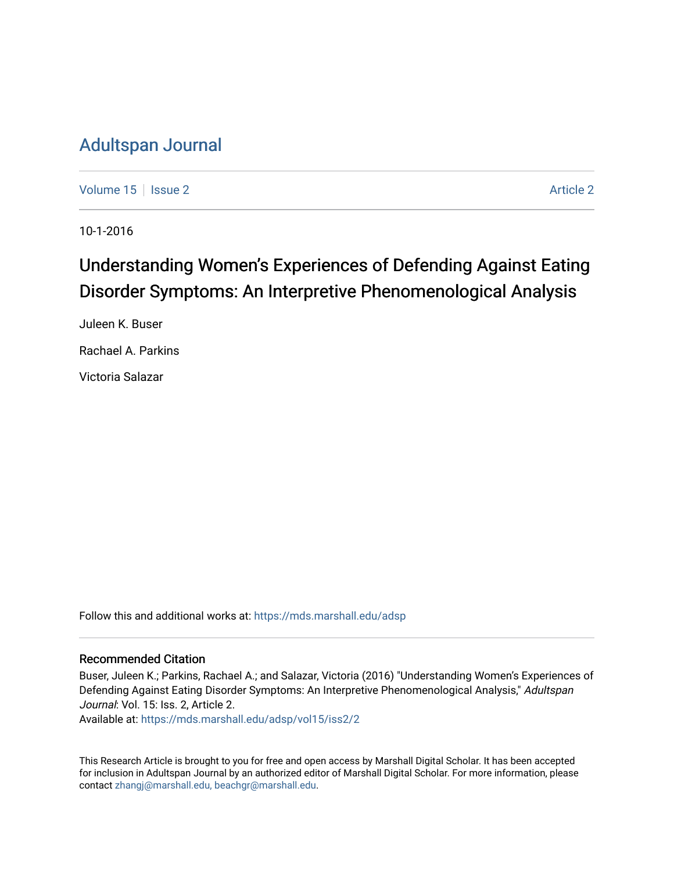# [Adultspan Journal](https://mds.marshall.edu/adsp)

[Volume 15](https://mds.marshall.edu/adsp/vol15) Setsue 2 [Article 2](https://mds.marshall.edu/adsp/vol15/iss2/2) Article 2 Article 2 Article 2 Article 2 Article 2 Article 2

10-1-2016

# Understanding Women's Experiences of Defending Against Eating Disorder Symptoms: An Interpretive Phenomenological Analysis

Juleen K. Buser

Rachael A. Parkins

Victoria Salazar

Follow this and additional works at: [https://mds.marshall.edu/adsp](https://mds.marshall.edu/adsp?utm_source=mds.marshall.edu%2Fadsp%2Fvol15%2Fiss2%2F2&utm_medium=PDF&utm_campaign=PDFCoverPages) 

#### Recommended Citation

Buser, Juleen K.; Parkins, Rachael A.; and Salazar, Victoria (2016) "Understanding Women's Experiences of Defending Against Eating Disorder Symptoms: An Interpretive Phenomenological Analysis," Adultspan Journal: Vol. 15: Iss. 2, Article 2.

Available at: [https://mds.marshall.edu/adsp/vol15/iss2/2](https://mds.marshall.edu/adsp/vol15/iss2/2?utm_source=mds.marshall.edu%2Fadsp%2Fvol15%2Fiss2%2F2&utm_medium=PDF&utm_campaign=PDFCoverPages) 

This Research Article is brought to you for free and open access by Marshall Digital Scholar. It has been accepted for inclusion in Adultspan Journal by an authorized editor of Marshall Digital Scholar. For more information, please contact [zhangj@marshall.edu, beachgr@marshall.edu](mailto:zhangj@marshall.edu,%20beachgr@marshall.edu).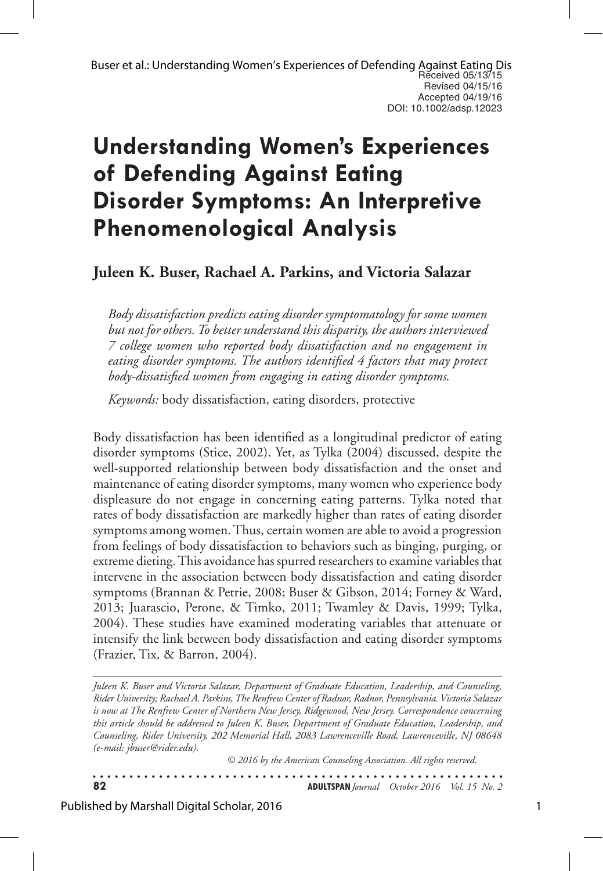# **Understanding Women's Experiences of Defending Against Eating Disorder Symptoms: An Interpretive Phenomenological Analysis**

# **Juleen K. Buser, Rachael A. Parkins, and Victoria Salazar**

*Body dissatisfaction predicts eating disorder symptomatology for some women but not for others. To better understand this disparity, the authors interviewed 7 college women who reported body dissatisfaction and no engagement in eating disorder symptoms. The authors identified 4 factors that may protect body-dissatisfied women from engaging in eating disorder symptoms.* 

*Keywords:* body dissatisfaction, eating disorders, protective

Body dissatisfaction has been identified as a longitudinal predictor of eating disorder symptoms (Stice, 2002). Yet, as Tylka (2004) discussed, despite the well-supported relationship between body dissatisfaction and the onset and maintenance of eating disorder symptoms, many women who experience body displeasure do not engage in concerning eating patterns. Tylka noted that rates of body dissatisfaction are markedly higher than rates of eating disorder symptoms among women. Thus, certain women are able to avoid a progression from feelings of body dissatisfaction to behaviors such as binging, purging, or extreme dieting. This avoidance has spurred researchers to examine variables that intervene in the association between body dissatisfaction and eating disorder symptoms (Brannan & Petrie, 2008; Buser & Gibson, 2014; Forney & Ward, 2013; Juarascio, Perone, & Timko, 2011; Twamley & Davis, 1999; Tylka, 2004). These studies have examined moderating variables that attenuate or intensify the link between body dissatisfaction and eating disorder symptoms (Frazier, Tix, & Barron, 2004).

*Juleen K. Buser and Victoria Salazar, Department of Graduate Education, Leadership, and Counseling, Rider University; Rachael A. Parkins, The Renfrew Center of Radnor, Radnor, Pennsylvania. Victoria Salazar is now at The Renfrew Center of Northern New Jersey, Ridgewood, New Jersey. Correspondence concerning this article should be addressed to Juleen K. Buser, Department of Graduate Education, Leadership, and Counseling, Rider University, 202 Memorial Hall, 2083 Lawrenceville Road, Lawrenceville, NJ 08648 (e-mail: jbuser@rider.edu).* 

*© 2016 by the American Counseling Association. All rights reserved.*

 $\ddot{\phantom{a}}$ **82 ADULTSPAN***Journal October 2016 Vol. 15 No. 2*

Published by Marshall Digital Scholar, 2016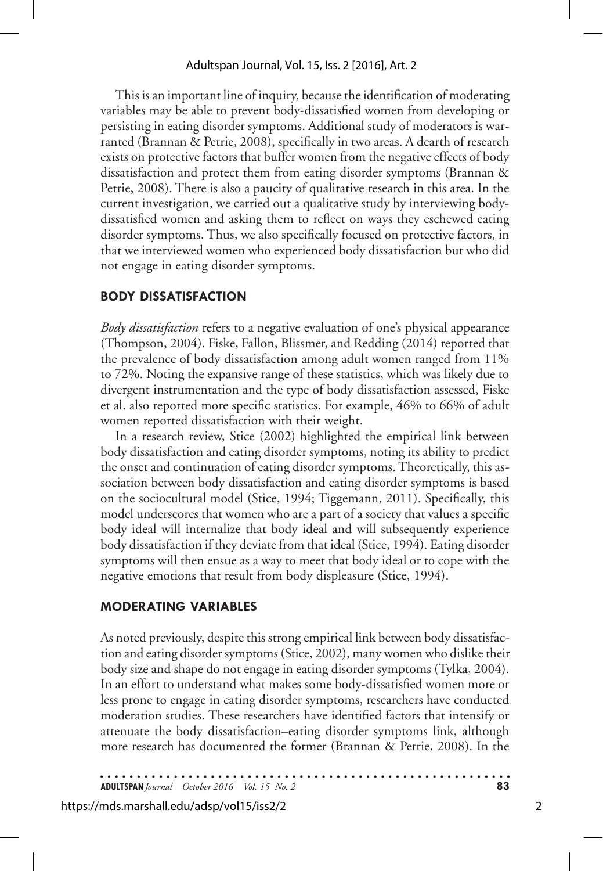#### Adultspan Journal, Vol. 15, Iss. 2 [2016], Art. 2

This is an important line of inquiry, because the identification of moderating variables may be able to prevent body-dissatisfied women from developing or persisting in eating disorder symptoms. Additional study of moderators is warranted (Brannan & Petrie, 2008), specifically in two areas. A dearth of research exists on protective factors that buffer women from the negative effects of body dissatisfaction and protect them from eating disorder symptoms (Brannan & Petrie, 2008). There is also a paucity of qualitative research in this area. In the current investigation, we carried out a qualitative study by interviewing bodydissatisfied women and asking them to reflect on ways they eschewed eating disorder symptoms. Thus, we also specifically focused on protective factors, in that we interviewed women who experienced body dissatisfaction but who did not engage in eating disorder symptoms.

#### **BODY DISSATISFACTION**

*Body dissatisfaction* refers to a negative evaluation of one's physical appearance (Thompson, 2004). Fiske, Fallon, Blissmer, and Redding (2014) reported that the prevalence of body dissatisfaction among adult women ranged from 11% to 72%. Noting the expansive range of these statistics, which was likely due to divergent instrumentation and the type of body dissatisfaction assessed, Fiske et al. also reported more specific statistics. For example, 46% to 66% of adult women reported dissatisfaction with their weight.

In a research review, Stice (2002) highlighted the empirical link between body dissatisfaction and eating disorder symptoms, noting its ability to predict the onset and continuation of eating disorder symptoms. Theoretically, this association between body dissatisfaction and eating disorder symptoms is based on the sociocultural model (Stice, 1994; Tiggemann, 2011). Specifically, this model underscores that women who are a part of a society that values a specific body ideal will internalize that body ideal and will subsequently experience body dissatisfaction if they deviate from that ideal (Stice, 1994). Eating disorder symptoms will then ensue as a way to meet that body ideal or to cope with the negative emotions that result from body displeasure (Stice, 1994).

## **Moderating Variables**

As noted previously, despite this strong empirical link between body dissatisfaction and eating disorder symptoms (Stice, 2002), many women who dislike their body size and shape do not engage in eating disorder symptoms (Tylka, 2004). In an effort to understand what makes some body-dissatisfied women more or less prone to engage in eating disorder symptoms, researchers have conducted moderation studies. These researchers have identified factors that intensify or attenuate the body dissatisfaction–eating disorder symptoms link, although more research has documented the former (Brannan & Petrie, 2008). In the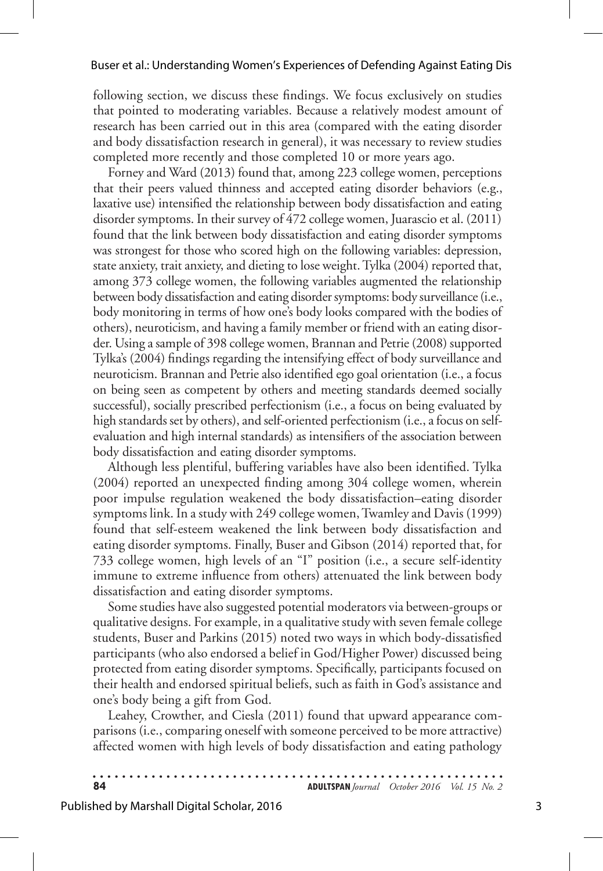following section, we discuss these findings. We focus exclusively on studies that pointed to moderating variables. Because a relatively modest amount of research has been carried out in this area (compared with the eating disorder and body dissatisfaction research in general), it was necessary to review studies completed more recently and those completed 10 or more years ago.

Forney and Ward (2013) found that, among 223 college women, perceptions that their peers valued thinness and accepted eating disorder behaviors (e.g., laxative use) intensified the relationship between body dissatisfaction and eating disorder symptoms. In their survey of 472 college women, Juarascio et al. (2011) found that the link between body dissatisfaction and eating disorder symptoms was strongest for those who scored high on the following variables: depression, state anxiety, trait anxiety, and dieting to lose weight. Tylka (2004) reported that, among 373 college women, the following variables augmented the relationship between body dissatisfaction and eating disorder symptoms: body surveillance (i.e., body monitoring in terms of how one's body looks compared with the bodies of others), neuroticism, and having a family member or friend with an eating disorder. Using a sample of 398 college women, Brannan and Petrie (2008) supported Tylka's (2004) findings regarding the intensifying effect of body surveillance and neuroticism. Brannan and Petrie also identified ego goal orientation (i.e., a focus on being seen as competent by others and meeting standards deemed socially successful), socially prescribed perfectionism (i.e., a focus on being evaluated by high standards set by others), and self-oriented perfectionism (i.e., a focus on selfevaluation and high internal standards) as intensifiers of the association between body dissatisfaction and eating disorder symptoms.

Although less plentiful, buffering variables have also been identified. Tylka (2004) reported an unexpected finding among 304 college women, wherein poor impulse regulation weakened the body dissatisfaction–eating disorder symptoms link. In a study with 249 college women, Twamley and Davis (1999) found that self-esteem weakened the link between body dissatisfaction and eating disorder symptoms. Finally, Buser and Gibson (2014) reported that, for 733 college women, high levels of an "I" position (i.e., a secure self-identity immune to extreme influence from others) attenuated the link between body dissatisfaction and eating disorder symptoms.

Some studies have also suggested potential moderators via between-groups or qualitative designs. For example, in a qualitative study with seven female college students, Buser and Parkins (2015) noted two ways in which body-dissatisfied participants (who also endorsed a belief in God/Higher Power) discussed being protected from eating disorder symptoms. Specifically, participants focused on their health and endorsed spiritual beliefs, such as faith in God's assistance and one's body being a gift from God.

Leahey, Crowther, and Ciesla (2011) found that upward appearance comparisons (i.e., comparing oneself with someone perceived to be more attractive) affected women with high levels of body dissatisfaction and eating pathology

| - 84 | <b>ADULTSPAN</b> Journal October 2016 Vol. 15 No. 2 |  |
|------|-----------------------------------------------------|--|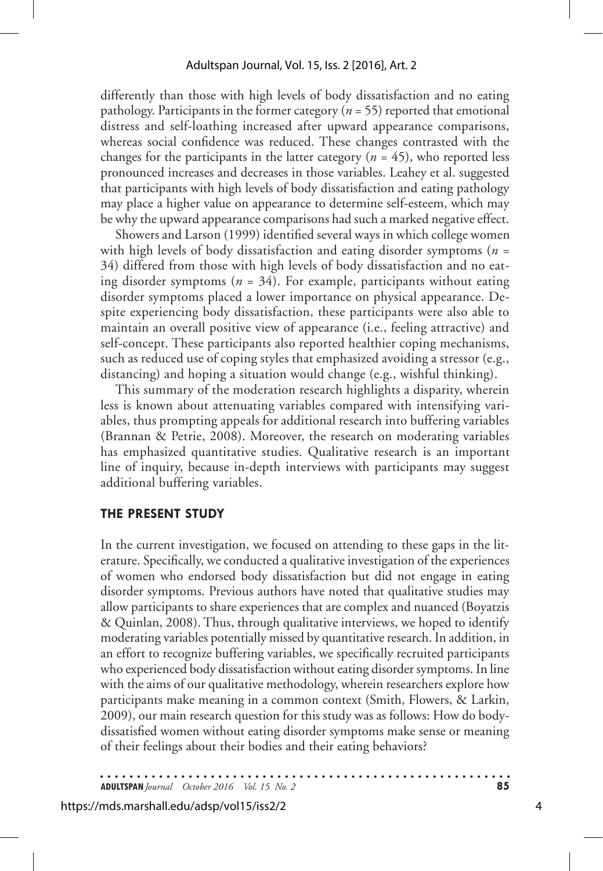differently than those with high levels of body dissatisfaction and no eating pathology. Participants in the former category (*n* = 55) reported that emotional distress and self-loathing increased after upward appearance comparisons, whereas social confidence was reduced. These changes contrasted with the changes for the participants in the latter category ( $n = 45$ ), who reported less pronounced increases and decreases in those variables. Leahey et al. suggested that participants with high levels of body dissatisfaction and eating pathology may place a higher value on appearance to determine self-esteem, which may be why the upward appearance comparisons had such a marked negative effect.

Showers and Larson (1999) identified several ways in which college women with high levels of body dissatisfaction and eating disorder symptoms (*n* = 34) differed from those with high levels of body dissatisfaction and no eating disorder symptoms (*n* = 34). For example, participants without eating disorder symptoms placed a lower importance on physical appearance. Despite experiencing body dissatisfaction, these participants were also able to maintain an overall positive view of appearance (i.e., feeling attractive) and self-concept. These participants also reported healthier coping mechanisms, such as reduced use of coping styles that emphasized avoiding a stressor (e.g., distancing) and hoping a situation would change (e.g., wishful thinking).

This summary of the moderation research highlights a disparity, wherein less is known about attenuating variables compared with intensifying variables, thus prompting appeals for additional research into buffering variables (Brannan & Petrie, 2008). Moreover, the research on moderating variables has emphasized quantitative studies. Qualitative research is an important line of inquiry, because in-depth interviews with participants may suggest additional buffering variables.

#### **The Present Study**

In the current investigation, we focused on attending to these gaps in the literature. Specifically, we conducted a qualitative investigation of the experiences of women who endorsed body dissatisfaction but did not engage in eating disorder symptoms. Previous authors have noted that qualitative studies may allow participants to share experiences that are complex and nuanced (Boyatzis & Quinlan, 2008). Thus, through qualitative interviews, we hoped to identify moderating variables potentially missed by quantitative research. In addition, in an effort to recognize buffering variables, we specifically recruited participants who experienced body dissatisfaction without eating disorder symptoms. In line with the aims of our qualitative methodology, wherein researchers explore how participants make meaning in a common context (Smith, Flowers, & Larkin, 2009), our main research question for this study was as follows: How do bodydissatisfied women without eating disorder symptoms make sense or meaning of their feelings about their bodies and their eating behaviors?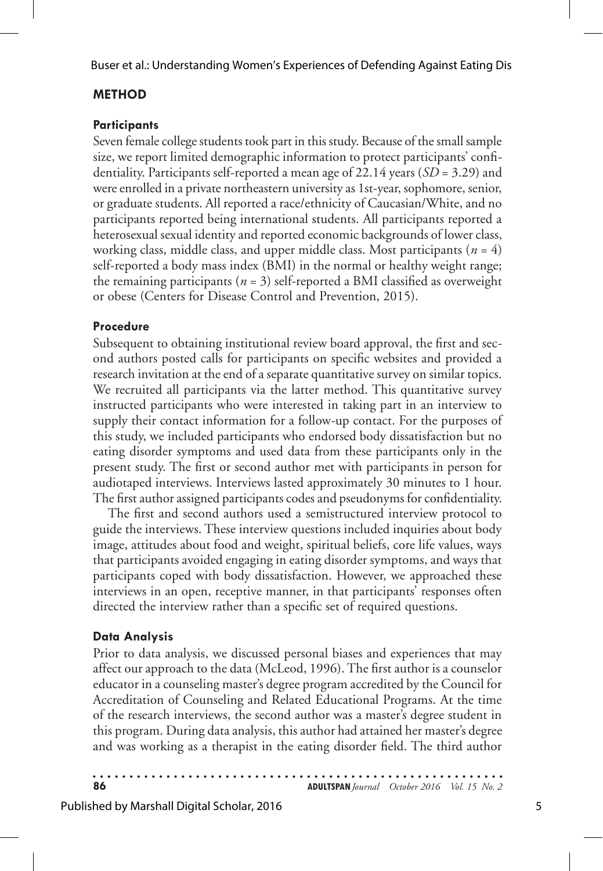# **Method**

# **Participants**

Seven female college students took part in this study. Because of the small sample size, we report limited demographic information to protect participants' confidentiality. Participants self-reported a mean age of 22.14 years (*SD* = 3.29) and were enrolled in a private northeastern university as 1st-year, sophomore, senior, or graduate students. All reported a race/ethnicity of Caucasian/White, and no participants reported being international students. All participants reported a heterosexual sexual identity and reported economic backgrounds of lower class, working class, middle class, and upper middle class. Most participants (*n* = 4) self-reported a body mass index (BMI) in the normal or healthy weight range; the remaining participants ( $n = 3$ ) self-reported a BMI classified as overweight or obese (Centers for Disease Control and Prevention, 2015).

## **Procedure**

Subsequent to obtaining institutional review board approval, the first and second authors posted calls for participants on specific websites and provided a research invitation at the end of a separate quantitative survey on similar topics. We recruited all participants via the latter method. This quantitative survey instructed participants who were interested in taking part in an interview to supply their contact information for a follow-up contact. For the purposes of this study, we included participants who endorsed body dissatisfaction but no eating disorder symptoms and used data from these participants only in the present study. The first or second author met with participants in person for audiotaped interviews. Interviews lasted approximately 30 minutes to 1 hour. The first author assigned participants codes and pseudonyms for confidentiality.

The first and second authors used a semistructured interview protocol to guide the interviews. These interview questions included inquiries about body image, attitudes about food and weight, spiritual beliefs, core life values, ways that participants avoided engaging in eating disorder symptoms, and ways that participants coped with body dissatisfaction. However, we approached these interviews in an open, receptive manner, in that participants' responses often directed the interview rather than a specific set of required questions.

# **Data Analysis**

Prior to data analysis, we discussed personal biases and experiences that may affect our approach to the data (McLeod, 1996). The first author is a counselor educator in a counseling master's degree program accredited by the Council for Accreditation of Counseling and Related Educational Programs. At the time of the research interviews, the second author was a master's degree student in this program. During data analysis, this author had attained her master's degree and was working as a therapist in the eating disorder field. The third author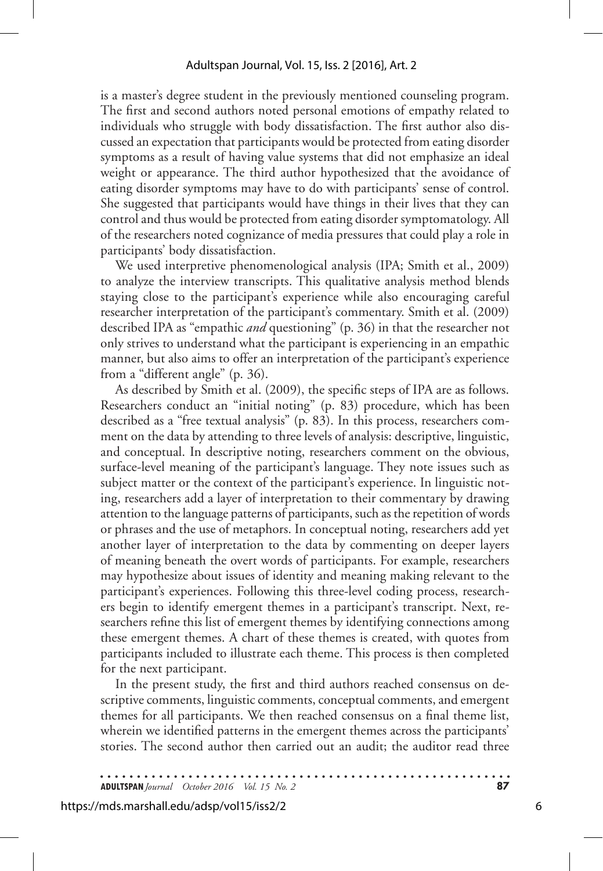is a master's degree student in the previously mentioned counseling program. The first and second authors noted personal emotions of empathy related to individuals who struggle with body dissatisfaction. The first author also discussed an expectation that participants would be protected from eating disorder symptoms as a result of having value systems that did not emphasize an ideal weight or appearance. The third author hypothesized that the avoidance of eating disorder symptoms may have to do with participants' sense of control. She suggested that participants would have things in their lives that they can control and thus would be protected from eating disorder symptomatology. All of the researchers noted cognizance of media pressures that could play a role in participants' body dissatisfaction.

We used interpretive phenomenological analysis (IPA; Smith et al., 2009) to analyze the interview transcripts. This qualitative analysis method blends staying close to the participant's experience while also encouraging careful researcher interpretation of the participant's commentary. Smith et al. (2009) described IPA as "empathic *and* questioning" (p. 36) in that the researcher not only strives to understand what the participant is experiencing in an empathic manner, but also aims to offer an interpretation of the participant's experience from a "different angle" (p. 36).

As described by Smith et al. (2009), the specific steps of IPA are as follows. Researchers conduct an "initial noting" (p. 83) procedure, which has been described as a "free textual analysis" (p. 83). In this process, researchers comment on the data by attending to three levels of analysis: descriptive, linguistic, and conceptual. In descriptive noting, researchers comment on the obvious, surface-level meaning of the participant's language. They note issues such as subject matter or the context of the participant's experience. In linguistic noting, researchers add a layer of interpretation to their commentary by drawing attention to the language patterns of participants, such as the repetition of words or phrases and the use of metaphors. In conceptual noting, researchers add yet another layer of interpretation to the data by commenting on deeper layers of meaning beneath the overt words of participants. For example, researchers may hypothesize about issues of identity and meaning making relevant to the participant's experiences. Following this three-level coding process, researchers begin to identify emergent themes in a participant's transcript. Next, researchers refine this list of emergent themes by identifying connections among these emergent themes. A chart of these themes is created, with quotes from participants included to illustrate each theme. This process is then completed for the next participant.

In the present study, the first and third authors reached consensus on descriptive comments, linguistic comments, conceptual comments, and emergent themes for all participants. We then reached consensus on a final theme list, wherein we identified patterns in the emergent themes across the participants' stories. The second author then carried out an audit; the auditor read three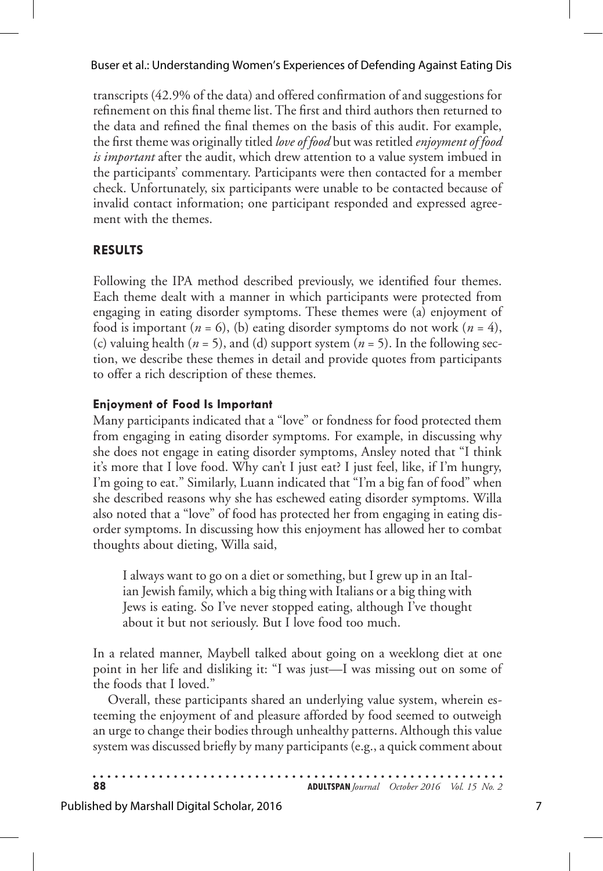transcripts (42.9% of the data) and offered confirmation of and suggestions for refinement on this final theme list. The first and third authors then returned to the data and refined the final themes on the basis of this audit. For example, the first theme was originally titled *love of food* but was retitled *enjoyment of food is important* after the audit, which drew attention to a value system imbued in the participants' commentary. Participants were then contacted for a member check. Unfortunately, six participants were unable to be contacted because of invalid contact information; one participant responded and expressed agreement with the themes.

# **Results**

Following the IPA method described previously, we identified four themes. Each theme dealt with a manner in which participants were protected from engaging in eating disorder symptoms. These themes were (a) enjoyment of food is important (*n* = 6), (b) eating disorder symptoms do not work (*n* = 4), (c) valuing health (*n* = 5), and (d) support system (*n* = 5). In the following section, we describe these themes in detail and provide quotes from participants to offer a rich description of these themes.

## **Enjoyment of Food Is Important**

Many participants indicated that a "love" or fondness for food protected them from engaging in eating disorder symptoms. For example, in discussing why she does not engage in eating disorder symptoms, Ansley noted that "I think it's more that I love food. Why can't I just eat? I just feel, like, if I'm hungry, I'm going to eat." Similarly, Luann indicated that "I'm a big fan of food" when she described reasons why she has eschewed eating disorder symptoms. Willa also noted that a "love" of food has protected her from engaging in eating disorder symptoms. In discussing how this enjoyment has allowed her to combat thoughts about dieting, Willa said,

I always want to go on a diet or something, but I grew up in an Italian Jewish family, which a big thing with Italians or a big thing with Jews is eating. So I've never stopped eating, although I've thought about it but not seriously. But I love food too much.

In a related manner, Maybell talked about going on a weeklong diet at one point in her life and disliking it: "I was just—I was missing out on some of the foods that I loved."

Overall, these participants shared an underlying value system, wherein esteeming the enjoyment of and pleasure afforded by food seemed to outweigh an urge to change their bodies through unhealthy patterns. Although this value system was discussed briefly by many participants (e.g., a quick comment about

| - 88 | <b>ADULTSPAN</b> Journal October 2016 Vol. 15 No. 2 |  |
|------|-----------------------------------------------------|--|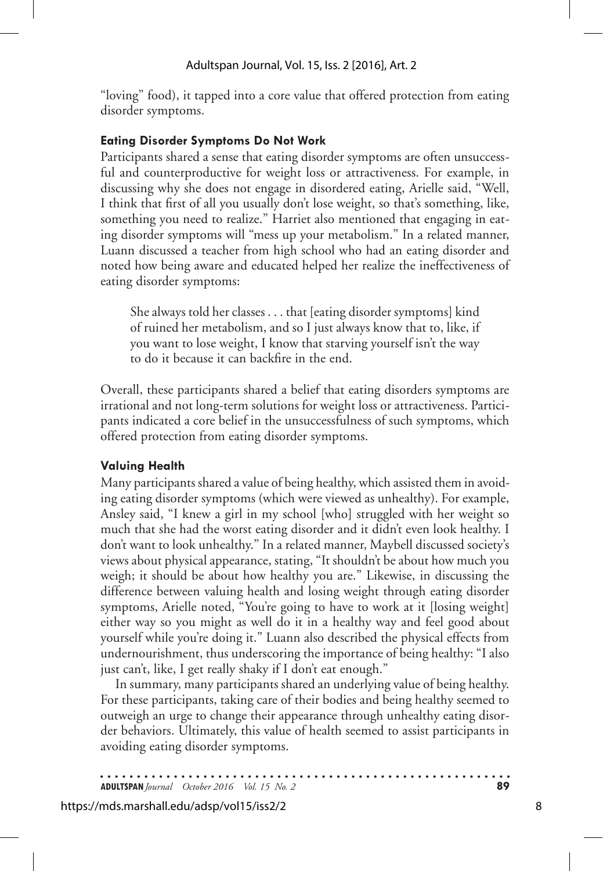"loving" food), it tapped into a core value that offered protection from eating disorder symptoms.

# **Eating Disorder Symptoms Do Not Work**

Participants shared a sense that eating disorder symptoms are often unsuccessful and counterproductive for weight loss or attractiveness. For example, in discussing why she does not engage in disordered eating, Arielle said, "Well, I think that first of all you usually don't lose weight, so that's something, like, something you need to realize." Harriet also mentioned that engaging in eating disorder symptoms will "mess up your metabolism." In a related manner, Luann discussed a teacher from high school who had an eating disorder and noted how being aware and educated helped her realize the ineffectiveness of eating disorder symptoms:

She always told her classes . . . that [eating disorder symptoms] kind of ruined her metabolism, and so I just always know that to, like, if you want to lose weight, I know that starving yourself isn't the way to do it because it can backfire in the end.

Overall, these participants shared a belief that eating disorders symptoms are irrational and not long-term solutions for weight loss or attractiveness. Participants indicated a core belief in the unsuccessfulness of such symptoms, which offered protection from eating disorder symptoms.

## **Valuing Health**

Many participants shared a value of being healthy, which assisted them in avoiding eating disorder symptoms (which were viewed as unhealthy). For example, Ansley said, "I knew a girl in my school [who] struggled with her weight so much that she had the worst eating disorder and it didn't even look healthy. I don't want to look unhealthy." In a related manner, Maybell discussed society's views about physical appearance, stating, "It shouldn't be about how much you weigh; it should be about how healthy you are." Likewise, in discussing the difference between valuing health and losing weight through eating disorder symptoms, Arielle noted, "You're going to have to work at it [losing weight] either way so you might as well do it in a healthy way and feel good about yourself while you're doing it." Luann also described the physical effects from undernourishment, thus underscoring the importance of being healthy: "I also just can't, like, I get really shaky if I don't eat enough."

In summary, many participants shared an underlying value of being healthy. For these participants, taking care of their bodies and being healthy seemed to outweigh an urge to change their appearance through unhealthy eating disorder behaviors. Ultimately, this value of health seemed to assist participants in avoiding eating disorder symptoms.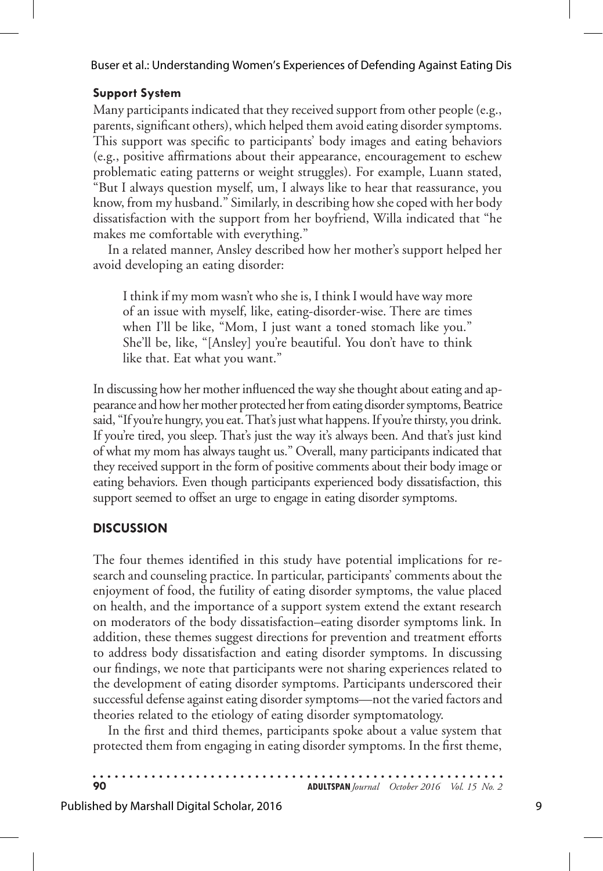# **Support System**

Many participants indicated that they received support from other people (e.g., parents, significant others), which helped them avoid eating disorder symptoms. This support was specific to participants' body images and eating behaviors (e.g., positive affirmations about their appearance, encouragement to eschew problematic eating patterns or weight struggles). For example, Luann stated, "But I always question myself, um, I always like to hear that reassurance, you know, from my husband." Similarly, in describing how she coped with her body dissatisfaction with the support from her boyfriend, Willa indicated that "he makes me comfortable with everything."

In a related manner, Ansley described how her mother's support helped her avoid developing an eating disorder:

I think if my mom wasn't who she is, I think I would have way more of an issue with myself, like, eating-disorder-wise. There are times when I'll be like, "Mom, I just want a toned stomach like you." She'll be, like, "[Ansley] you're beautiful. You don't have to think like that. Eat what you want."

In discussing how her mother influenced the way she thought about eating and appearance and how her mother protected her from eating disorder symptoms, Beatrice said, "If you're hungry, you eat. That's just what happens. If you're thirsty, you drink. If you're tired, you sleep. That's just the way it's always been. And that's just kind of what my mom has always taught us." Overall, many participants indicated that they received support in the form of positive comments about their body image or eating behaviors. Even though participants experienced body dissatisfaction, this support seemed to offset an urge to engage in eating disorder symptoms.

## **Discussion**

The four themes identified in this study have potential implications for research and counseling practice. In particular, participants' comments about the enjoyment of food, the futility of eating disorder symptoms, the value placed on health, and the importance of a support system extend the extant research on moderators of the body dissatisfaction–eating disorder symptoms link. In addition, these themes suggest directions for prevention and treatment efforts to address body dissatisfaction and eating disorder symptoms. In discussing our findings, we note that participants were not sharing experiences related to the development of eating disorder symptoms. Participants underscored their successful defense against eating disorder symptoms—not the varied factors and theories related to the etiology of eating disorder symptomatology.

In the first and third themes, participants spoke about a value system that protected them from engaging in eating disorder symptoms. In the first theme,

. . . . . . . . . . . . . . . . . **90 ADULTSPAN***Journal October 2016 Vol. 15 No. 2*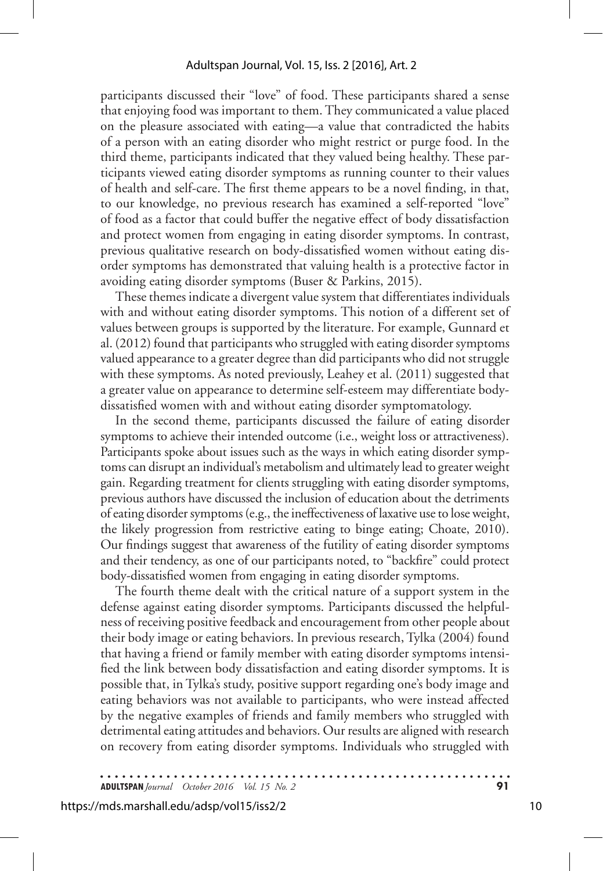participants discussed their "love" of food. These participants shared a sense that enjoying food was important to them. They communicated a value placed on the pleasure associated with eating—a value that contradicted the habits of a person with an eating disorder who might restrict or purge food. In the third theme, participants indicated that they valued being healthy. These participants viewed eating disorder symptoms as running counter to their values of health and self-care. The first theme appears to be a novel finding, in that, to our knowledge, no previous research has examined a self-reported "love" of food as a factor that could buffer the negative effect of body dissatisfaction and protect women from engaging in eating disorder symptoms. In contrast, previous qualitative research on body-dissatisfied women without eating disorder symptoms has demonstrated that valuing health is a protective factor in avoiding eating disorder symptoms (Buser & Parkins, 2015).

These themes indicate a divergent value system that differentiates individuals with and without eating disorder symptoms. This notion of a different set of values between groups is supported by the literature. For example, Gunnard et al. (2012) found that participants who struggled with eating disorder symptoms valued appearance to a greater degree than did participants who did not struggle with these symptoms. As noted previously, Leahey et al. (2011) suggested that a greater value on appearance to determine self-esteem may differentiate bodydissatisfied women with and without eating disorder symptomatology.

In the second theme, participants discussed the failure of eating disorder symptoms to achieve their intended outcome (i.e., weight loss or attractiveness). Participants spoke about issues such as the ways in which eating disorder symptoms can disrupt an individual's metabolism and ultimately lead to greater weight gain. Regarding treatment for clients struggling with eating disorder symptoms, previous authors have discussed the inclusion of education about the detriments of eating disorder symptoms (e.g., the ineffectiveness of laxative use to lose weight, the likely progression from restrictive eating to binge eating; Choate, 2010). Our findings suggest that awareness of the futility of eating disorder symptoms and their tendency, as one of our participants noted, to "backfire" could protect body-dissatisfied women from engaging in eating disorder symptoms.

The fourth theme dealt with the critical nature of a support system in the defense against eating disorder symptoms. Participants discussed the helpfulness of receiving positive feedback and encouragement from other people about their body image or eating behaviors. In previous research, Tylka (2004) found that having a friend or family member with eating disorder symptoms intensified the link between body dissatisfaction and eating disorder symptoms. It is possible that, in Tylka's study, positive support regarding one's body image and eating behaviors was not available to participants, who were instead affected by the negative examples of friends and family members who struggled with detrimental eating attitudes and behaviors. Our results are aligned with research on recovery from eating disorder symptoms. Individuals who struggled with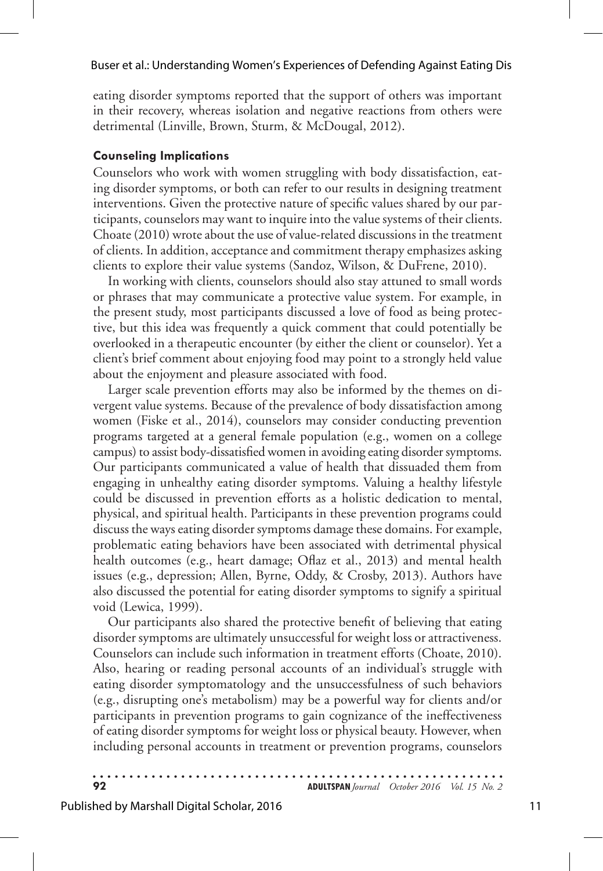eating disorder symptoms reported that the support of others was important in their recovery, whereas isolation and negative reactions from others were detrimental (Linville, Brown, Sturm, & McDougal, 2012).

#### **Counseling Implications**

Counselors who work with women struggling with body dissatisfaction, eating disorder symptoms, or both can refer to our results in designing treatment interventions. Given the protective nature of specific values shared by our participants, counselors may want to inquire into the value systems of their clients. Choate (2010) wrote about the use of value-related discussions in the treatment of clients. In addition, acceptance and commitment therapy emphasizes asking clients to explore their value systems (Sandoz, Wilson, & DuFrene, 2010).

In working with clients, counselors should also stay attuned to small words or phrases that may communicate a protective value system. For example, in the present study, most participants discussed a love of food as being protective, but this idea was frequently a quick comment that could potentially be overlooked in a therapeutic encounter (by either the client or counselor). Yet a client's brief comment about enjoying food may point to a strongly held value about the enjoyment and pleasure associated with food.

Larger scale prevention efforts may also be informed by the themes on divergent value systems. Because of the prevalence of body dissatisfaction among women (Fiske et al., 2014), counselors may consider conducting prevention programs targeted at a general female population (e.g., women on a college campus) to assist body-dissatisfied women in avoiding eating disorder symptoms. Our participants communicated a value of health that dissuaded them from engaging in unhealthy eating disorder symptoms. Valuing a healthy lifestyle could be discussed in prevention efforts as a holistic dedication to mental, physical, and spiritual health. Participants in these prevention programs could discuss the ways eating disorder symptoms damage these domains. For example, problematic eating behaviors have been associated with detrimental physical health outcomes (e.g., heart damage; Oflaz et al., 2013) and mental health issues (e.g., depression; Allen, Byrne, Oddy, & Crosby, 2013). Authors have also discussed the potential for eating disorder symptoms to signify a spiritual void (Lewica, 1999).

Our participants also shared the protective benefit of believing that eating disorder symptoms are ultimately unsuccessful for weight loss or attractiveness. Counselors can include such information in treatment efforts (Choate, 2010). Also, hearing or reading personal accounts of an individual's struggle with eating disorder symptomatology and the unsuccessfulness of such behaviors (e.g., disrupting one's metabolism) may be a powerful way for clients and/or participants in prevention programs to gain cognizance of the ineffectiveness of eating disorder symptoms for weight loss or physical beauty. However, when including personal accounts in treatment or prevention programs, counselors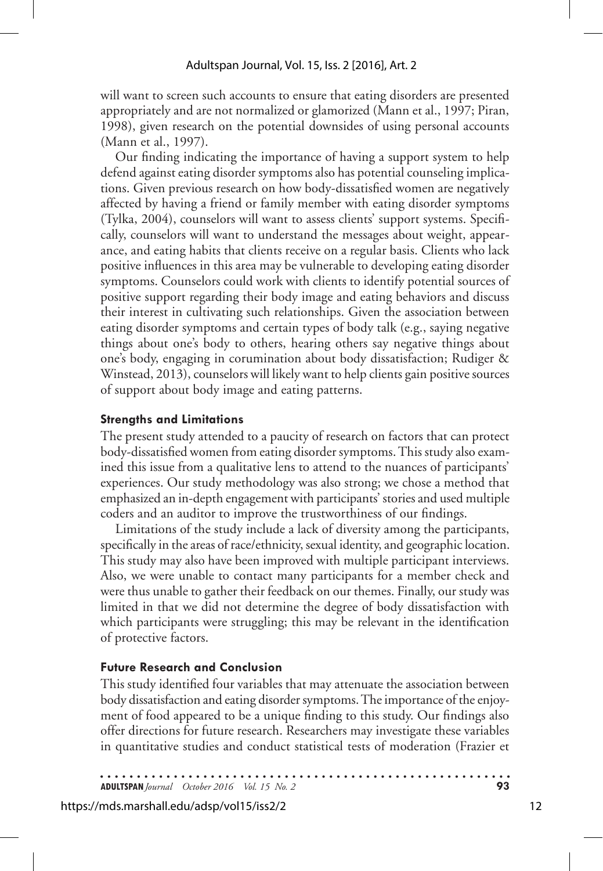will want to screen such accounts to ensure that eating disorders are presented appropriately and are not normalized or glamorized (Mann et al., 1997; Piran, 1998), given research on the potential downsides of using personal accounts (Mann et al., 1997).

Our finding indicating the importance of having a support system to help defend against eating disorder symptoms also has potential counseling implications. Given previous research on how body-dissatisfied women are negatively affected by having a friend or family member with eating disorder symptoms (Tylka, 2004), counselors will want to assess clients' support systems. Specifically, counselors will want to understand the messages about weight, appearance, and eating habits that clients receive on a regular basis. Clients who lack positive influences in this area may be vulnerable to developing eating disorder symptoms. Counselors could work with clients to identify potential sources of positive support regarding their body image and eating behaviors and discuss their interest in cultivating such relationships. Given the association between eating disorder symptoms and certain types of body talk (e.g., saying negative things about one's body to others, hearing others say negative things about one's body, engaging in corumination about body dissatisfaction; Rudiger & Winstead, 2013), counselors will likely want to help clients gain positive sources of support about body image and eating patterns.

#### **Strengths and Limitations**

The present study attended to a paucity of research on factors that can protect body-dissatisfied women from eating disorder symptoms. This study also examined this issue from a qualitative lens to attend to the nuances of participants' experiences. Our study methodology was also strong; we chose a method that emphasized an in-depth engagement with participants' stories and used multiple coders and an auditor to improve the trustworthiness of our findings.

Limitations of the study include a lack of diversity among the participants, specifically in the areas of race/ethnicity, sexual identity, and geographic location. This study may also have been improved with multiple participant interviews. Also, we were unable to contact many participants for a member check and were thus unable to gather their feedback on our themes. Finally, our study was limited in that we did not determine the degree of body dissatisfaction with which participants were struggling; this may be relevant in the identification of protective factors.

#### **Future Research and Conclusion**

This study identified four variables that may attenuate the association between body dissatisfaction and eating disorder symptoms. The importance of the enjoyment of food appeared to be a unique finding to this study. Our findings also offer directions for future research. Researchers may investigate these variables in quantitative studies and conduct statistical tests of moderation (Frazier et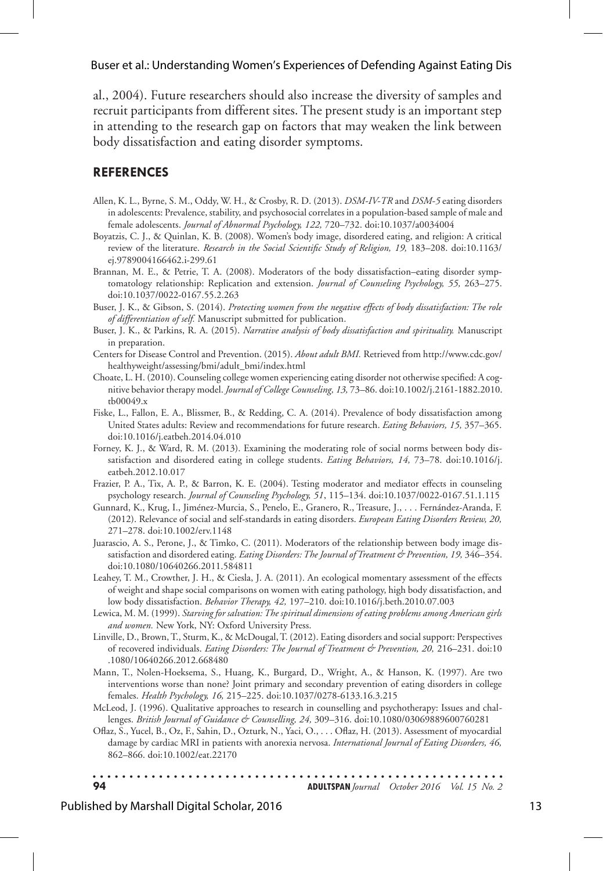al., 2004). Future researchers should also increase the diversity of samples and recruit participants from different sites. The present study is an important step in attending to the research gap on factors that may weaken the link between body dissatisfaction and eating disorder symptoms.

#### **References**

- Allen, K. L., Byrne, S. M., Oddy, W. H., & Crosby, R. D. (2013). *DSM-IV-TR* and *DSM-5* eating disorders in adolescents: Prevalence, stability, and psychosocial correlates in a population-based sample of male and female adolescents. *Journal of Abnormal Psychology, 122,* 720–732. doi:10.1037/a0034004
- Boyatzis, C. J., & Quinlan, K. B. (2008). Women's body image, disordered eating, and religion: A critical review of the literature. *Research in the Social Scientific Study of Religion, 19*, 183-208. doi:10.1163/ ej.9789004166462.i-299.61
- Brannan, M. E., & Petrie, T. A. (2008). Moderators of the body dissatisfaction–eating disorder symptomatology relationship: Replication and extension. *Journal of Counseling Psychology, 55,* 263–275. doi:10.1037/0022-0167.55.2.263
- Buser, J. K., & Gibson, S. (2014). *Protecting women from the negative effects of body dissatisfaction: The role of differentiation of self.* Manuscript submitted for publication.
- Buser, J. K., & Parkins, R. A. (2015). *Narrative analysis of body dissatisfaction and spirituality.* Manuscript in preparation.
- Centers for Disease Control and Prevention. (2015). *About adult BMI.* Retrieved from http://www.cdc.gov/ healthyweight/assessing/bmi/adult\_bmi/index.html
- Choate, L. H. (2010). Counseling college women experiencing eating disorder not otherwise specified: A cognitive behavior therapy model. *Journal of College Counseling, 13,* 73–86. doi:10.1002/j.2161-1882.2010. tb00049.x
- Fiske, L., Fallon, E. A., Blissmer, B., & Redding, C. A. (2014). Prevalence of body dissatisfaction among United States adults: Review and recommendations for future research. *Eating Behaviors, 15,* 357–365. doi:10.1016/j.eatbeh.2014.04.010
- Forney, K. J., & Ward, R. M. (2013). Examining the moderating role of social norms between body dissatisfaction and disordered eating in college students. *Eating Behaviors, 14,* 73–78. doi:10.1016/j. eatbeh.2012.10.017
- Frazier, P. A., Tix, A. P., & Barron, K. E. (2004). Testing moderator and mediator effects in counseling psychology research. *Journal of Counseling Psychology, 51*, 115–134. doi:10.1037/0022-0167.51.1.115
- Gunnard, K., Krug, I., Jiménez-Murcia, S., Penelo, E., Granero, R., Treasure, J., . . . Fernández-Aranda, F. (2012). Relevance of social and self-standards in eating disorders. *European Eating Disorders Review, 20,* 271–278. doi:10.1002/erv.1148
- Juarascio, A. S., Perone, J., & Timko, C. (2011). Moderators of the relationship between body image dissatisfaction and disordered eating. *Eating Disorders: The Journal of Treatment & Prevention*, 19, 346-354. doi:10.1080/10640266.2011.584811
- Leahey, T. M., Crowther, J. H., & Ciesla, J. A. (2011). An ecological momentary assessment of the effects of weight and shape social comparisons on women with eating pathology, high body dissatisfaction, and low body dissatisfaction. *Behavior Therapy, 42,* 197–210. doi:10.1016/j.beth.2010.07.003
- Lewica, M. M. (1999). *Starving for salvation: The spiritual dimensions of eating problems among American girls and women.* New York, NY: Oxford University Press.
- Linville, D., Brown, T., Sturm, K., & McDougal, T. (2012). Eating disorders and social support: Perspectives of recovered individuals. *Eating Disorders: The Journal of Treatment & Prevention, 20,* 216–231. doi:10 .1080/10640266.2012.668480
- Mann, T., Nolen-Hoeksema, S., Huang, K., Burgard, D., Wright, A., & Hanson, K. (1997). Are two interventions worse than none? Joint primary and secondary prevention of eating disorders in college females. *Health Psychology, 16,* 215–225. doi:10.1037/0278-6133.16.3.215
- McLeod, J. (1996). Qualitative approaches to research in counselling and psychotherapy: Issues and challenges. *British Journal of Guidance & Counselling, 24,* 309–316. doi:10.1080/03069889600760281
- Oflaz, S., Yucel, B., Oz, F., Sahin, D., Ozturk, N., Yaci, O., . . . Oflaz, H. (2013). Assessment of myocardial damage by cardiac MRI in patients with anorexia nervosa. *International Journal of Eating Disorders, 46,*  862–866. doi:10.1002/eat.22170

**94 ADULTSPAN***Journal October 2016 Vol. 15 No. 2*

#### Published by Marshall Digital Scholar, 2016